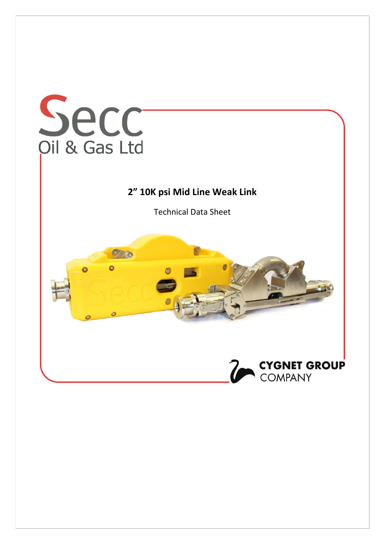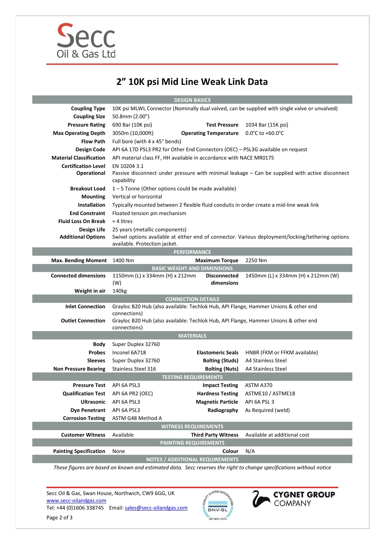

## 2" 10K psi Mid Line Weak Link Data

| <b>DESIGN BASICS</b>                |                                                                                                     |                                        |                                                                                                   |
|-------------------------------------|-----------------------------------------------------------------------------------------------------|----------------------------------------|---------------------------------------------------------------------------------------------------|
| <b>Coupling Type</b>                | 10K psi MLWL Connector (Nominally dual valved, can be supplied with single valve or unvalved)       |                                        |                                                                                                   |
| <b>Coupling Size</b>                | 50.8mm (2.00")                                                                                      |                                        |                                                                                                   |
| <b>Pressure Rating</b>              | 690 Bar (10K psi)                                                                                   | <b>Test Pressure</b>                   | 1034 Bar (15K psi)                                                                                |
| <b>Max Operating Depth</b>          | 3050m (10,000ft)                                                                                    | <b>Operating Temperature</b>           | $0.0^{\circ}$ C to +60.0 $^{\circ}$ C                                                             |
| <b>Flow Path</b>                    | Full bore (with 4 x 45° bends)                                                                      |                                        |                                                                                                   |
| Design Code                         | API 6A 17D PSL3 PR2 for Other End Connectors (OEC) - PSL3G available on request                     |                                        |                                                                                                   |
| <b>Material Classification</b>      | API material class FF, HH available in accordance with NACE MR0175                                  |                                        |                                                                                                   |
| <b>Certification Level</b>          | EN 10204 3.1                                                                                        |                                        |                                                                                                   |
| Operational                         | capability                                                                                          |                                        | Passive disconnect under pressure with minimal leakage - Can be supplied with active disconnect   |
| <b>Breakout Load</b>                | 1-5 Tonne (Other options could be made available)                                                   |                                        |                                                                                                   |
| <b>Mounting</b>                     | Vertical or horizontal                                                                              |                                        |                                                                                                   |
| <b>Installation</b>                 | Typically mounted between 2 flexible fluid conduits in order create a mid-line weak link            |                                        |                                                                                                   |
| <b>End Constraint</b>               | Floated tension pin mechanism                                                                       |                                        |                                                                                                   |
| <b>Fluid Loss On Break</b>          | $\approx$ 4 litres                                                                                  |                                        |                                                                                                   |
| Design Life                         | 25 years (metallic components)                                                                      |                                        |                                                                                                   |
| <b>Additional Options</b>           |                                                                                                     |                                        | Swivel options available at either end of connector. Various deployment/locking/tethering options |
|                                     | available. Protection jacket.                                                                       |                                        |                                                                                                   |
| <b>PERFORMANCE</b>                  |                                                                                                     |                                        |                                                                                                   |
| <b>Max. Bending Moment</b>          | 1400 Nm                                                                                             | <b>Maximum Torque</b>                  | 2250 Nm                                                                                           |
|                                     |                                                                                                     | <b>BASIC WEIGHT AND DIMENSIONS</b>     |                                                                                                   |
| <b>Connected dimensions</b>         | 1150mm (L) x 334mm (H) x 212mm<br>(W)                                                               | <b>Disconnected</b><br>dimensions      | 1450mm (L) x 334mm (H) x 212mm (W)                                                                |
| Weight in air                       | 140kg                                                                                               |                                        |                                                                                                   |
| <b>CONNECTION DETAILS</b>           |                                                                                                     |                                        |                                                                                                   |
| <b>Inlet Connection</b>             | Grayloc B20 Hub (also available: Techlok Hub, API Flange, Hammer Unions & other end                 |                                        |                                                                                                   |
| <b>Outlet Connection</b>            | connections)<br>Grayloc B20 Hub (also available: Techlok Hub, API Flange, Hammer Unions & other end |                                        |                                                                                                   |
|                                     | connections)                                                                                        |                                        |                                                                                                   |
| <b>MATERIALS</b>                    |                                                                                                     |                                        |                                                                                                   |
| <b>Body</b>                         | Super Duplex 32760                                                                                  |                                        |                                                                                                   |
| <b>Probes</b>                       | Inconel 6A718                                                                                       | <b>Elastomeric Seals</b>               | HNBR (FKM or FFKM available)                                                                      |
| <b>Sleeves</b>                      | Super Duplex 32760                                                                                  | <b>Bolting (Studs)</b>                 | A4 Stainless Steel                                                                                |
| <b>Non Pressure Bearing</b>         | <b>Stainless Steel 316</b>                                                                          | <b>Bolting (Nuts)</b>                  | A4 Stainless Steel                                                                                |
| <b>TESTING REQUIREMENTS</b>         |                                                                                                     |                                        |                                                                                                   |
| <b>Pressure Test</b>                | API 6A PSL3                                                                                         | <b>Impact Testing</b>                  | ASTM A370                                                                                         |
| Qualification Test API 6A PR2 (OEC) |                                                                                                     | <b>Hardness Testing</b>                | ASTME10 / ASTME18                                                                                 |
| <b>Ultrasonic</b>                   | API 6A PSL3                                                                                         | <b>Magnetic Particle</b>               | API 6A PSL 3                                                                                      |
| <b>Dye Penetrant</b>                | API 6A PSL3                                                                                         | Radiography                            | As Required (weld)                                                                                |
| <b>Corrosion Testing</b>            | ASTM G48 Method A                                                                                   |                                        |                                                                                                   |
| <b>WITNESS REQUIREMENTS</b>         |                                                                                                     |                                        |                                                                                                   |
| <b>Customer Witness</b>             | Available                                                                                           | <b>Third Party Witness</b>             | Available at additional cost                                                                      |
|                                     |                                                                                                     | <b>PAINTING REQUIREMENTS</b>           |                                                                                                   |
| <b>Painting Specification</b>       | None                                                                                                | Colour                                 | N/A                                                                                               |
|                                     |                                                                                                     | <b>NOTES / ADDITIONAL REQUIREMENTS</b> |                                                                                                   |
|                                     |                                                                                                     |                                        |                                                                                                   |

These figures are based on known and estimated data. Secc reserves the right to change specifications without notice

Secc Oil & Gas, Swan House, Northwich, CW9 6GG, UK www.secc-oilandgas.com Tel: +44 (0)1606 338745 Email: sales@secc-oilandgas.com